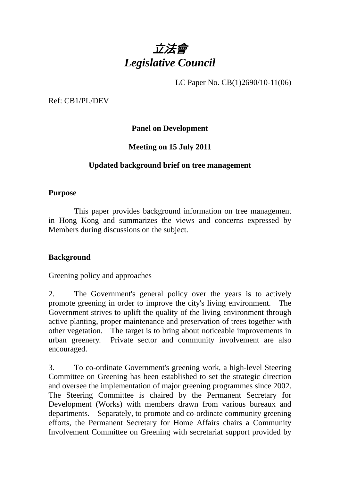

LC Paper No. CB(1)2690/10-11(06)

Ref: CB1/PL/DEV

**Panel on Development** 

**Meeting on 15 July 2011** 

### **Updated background brief on tree management**

#### **Purpose**

 This paper provides background information on tree management in Hong Kong and summarizes the views and concerns expressed by Members during discussions on the subject.

#### **Background**

#### Greening policy and approaches

2. The Government's general policy over the years is to actively promote greening in order to improve the city's living environment. The Government strives to uplift the quality of the living environment through active planting, proper maintenance and preservation of trees together with other vegetation. The target is to bring about noticeable improvements in urban greenery. Private sector and community involvement are also encouraged.

3. To co-ordinate Government's greening work, a high-level Steering Committee on Greening has been established to set the strategic direction and oversee the implementation of major greening programmes since 2002. The Steering Committee is chaired by the Permanent Secretary for Development (Works) with members drawn from various bureaux and departments. Separately, to promote and co-ordinate community greening efforts, the Permanent Secretary for Home Affairs chairs a Community Involvement Committee on Greening with secretariat support provided by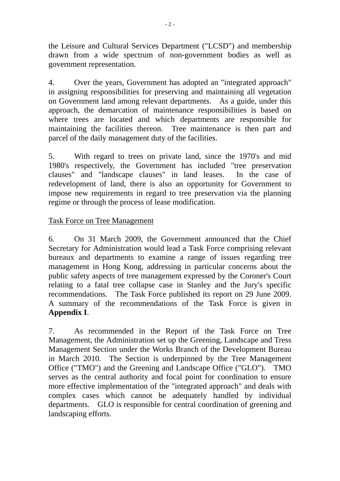the Leisure and Cultural Services Department ("LCSD") and membership drawn from a wide spectrum of non-government bodies as well as government representation.

4. Over the years, Government has adopted an "integrated approach" in assigning responsibilities for preserving and maintaining all vegetation on Government land among relevant departments. As a guide, under this approach, the demarcation of maintenance responsibilities is based on where trees are located and which departments are responsible for maintaining the facilities thereon. Tree maintenance is then part and parcel of the daily management duty of the facilities.

5. With regard to trees on private land, since the 1970's and mid 1980's respectively, the Government has included "tree preservation clauses" and "landscape clauses" in land leases. In the case of redevelopment of land, there is also an opportunity for Government to impose new requirements in regard to tree preservation via the planning regime or through the process of lease modification.

## Task Force on Tree Management

6. On 31 March 2009, the Government announced that the Chief Secretary for Administration would lead a Task Force comprising relevant bureaux and departments to examine a range of issues regarding tree management in Hong Kong, addressing in particular concerns about the public safety aspects of tree management expressed by the Coroner's Court relating to a fatal tree collapse case in Stanley and the Jury's specific recommendations. The Task Force published its report on 29 June 2009. A summary of the recommendations of the Task Force is given in **Appendix I**.

7. As recommended in the Report of the Task Force on Tree Management, the Administration set up the Greening, Landscape and Tress Management Section under the Works Branch of the Development Bureau in March 2010. The Section is underpinned by the Tree Management Office ("TMO") and the Greening and Landscape Office ("GLO"). TMO serves as the central authority and focal point for coordination to ensure more effective implementation of the "integrated approach" and deals with complex cases which cannot be adequately handled by individual departments. GLO is responsible for central coordination of greening and landscaping efforts.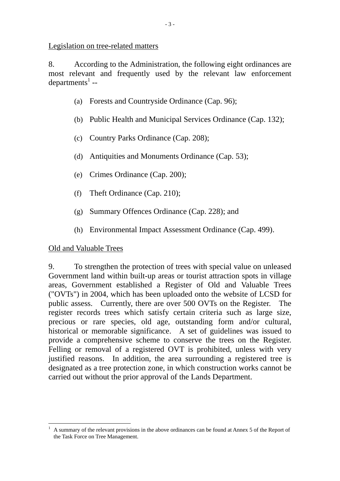Legislation on tree-related matters

8. According to the Administration, the following eight ordinances are most relevant and frequently used by the relevant law enforcement  $\epsilon$ departments<sup>1</sup> --

- (a) Forests and Countryside Ordinance (Cap. 96);
- (b) Public Health and Municipal Services Ordinance (Cap. 132);
- (c) Country Parks Ordinance (Cap. 208);
- (d) Antiquities and Monuments Ordinance (Cap. 53);
- (e) Crimes Ordinance (Cap. 200);
- (f) Theft Ordinance (Cap. 210);
- (g) Summary Offences Ordinance (Cap. 228); and
- (h) Environmental Impact Assessment Ordinance (Cap. 499).

## Old and Valuable Trees

9. To strengthen the protection of trees with special value on unleased Government land within built-up areas or tourist attraction spots in village areas, Government established a Register of Old and Valuable Trees ("OVTs") in 2004, which has been uploaded onto the website of LCSD for public assess. Currently, there are over 500 OVTs on the Register. The register records trees which satisfy certain criteria such as large size, precious or rare species, old age, outstanding form and/or cultural, historical or memorable significance. A set of guidelines was issued to provide a comprehensive scheme to conserve the trees on the Register. Felling or removal of a registered OVT is prohibited, unless with very justified reasons. In addition, the area surrounding a registered tree is designated as a tree protection zone, in which construction works cannot be carried out without the prior approval of the Lands Department.

 $\overline{a}$ 1 A summary of the relevant provisions in the above ordinances can be found at Annex 5 of the Report of the Task Force on Tree Management.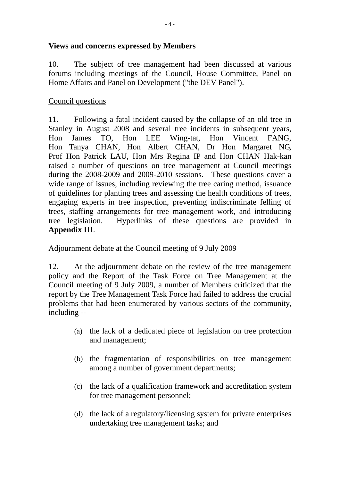### **Views and concerns expressed by Members**

10. The subject of tree management had been discussed at various forums including meetings of the Council, House Committee, Panel on Home Affairs and Panel on Development ("the DEV Panel").

### Council questions

11. Following a fatal incident caused by the collapse of an old tree in Stanley in August 2008 and several tree incidents in subsequent years, Hon James TO, Hon LEE Wing-tat, Hon Vincent FANG, Hon Tanya CHAN, Hon Albert CHAN, Dr Hon Margaret NG, Prof Hon Patrick LAU, Hon Mrs Regina IP and Hon CHAN Hak-kan raised a number of questions on tree management at Council meetings during the 2008-2009 and 2009-2010 sessions. These questions cover a wide range of issues, including reviewing the tree caring method, issuance of guidelines for planting trees and assessing the health conditions of trees, engaging experts in tree inspection, preventing indiscriminate felling of trees, staffing arrangements for tree management work, and introducing tree legislation. Hyperlinks of these questions are provided in **Appendix III**.

#### Adjournment debate at the Council meeting of 9 July 2009

12. At the adjournment debate on the review of the tree management policy and the Report of the Task Force on Tree Management at the Council meeting of 9 July 2009, a number of Members criticized that the report by the Tree Management Task Force had failed to address the crucial problems that had been enumerated by various sectors of the community, including --

- (a) the lack of a dedicated piece of legislation on tree protection and management;
- (b) the fragmentation of responsibilities on tree management among a number of government departments;
- (c) the lack of a qualification framework and accreditation system for tree management personnel;
- (d) the lack of a regulatory/licensing system for private enterprises undertaking tree management tasks; and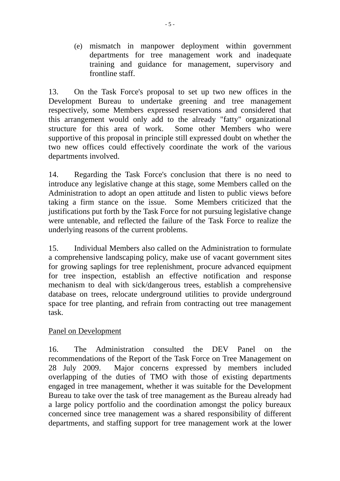(e) mismatch in manpower deployment within government departments for tree management work and inadequate training and guidance for management, supervisory and frontline staff.

13. On the Task Force's proposal to set up two new offices in the Development Bureau to undertake greening and tree management respectively, some Members expressed reservations and considered that this arrangement would only add to the already "fatty" organizational structure for this area of work. Some other Members who were supportive of this proposal in principle still expressed doubt on whether the two new offices could effectively coordinate the work of the various departments involved.

14. Regarding the Task Force's conclusion that there is no need to introduce any legislative change at this stage, some Members called on the Administration to adopt an open attitude and listen to public views before taking a firm stance on the issue. Some Members criticized that the justifications put forth by the Task Force for not pursuing legislative change were untenable, and reflected the failure of the Task Force to realize the underlying reasons of the current problems.

15. Individual Members also called on the Administration to formulate a comprehensive landscaping policy, make use of vacant government sites for growing saplings for tree replenishment, procure advanced equipment for tree inspection, establish an effective notification and response mechanism to deal with sick/dangerous trees, establish a comprehensive database on trees, relocate underground utilities to provide underground space for tree planting, and refrain from contracting out tree management task.

#### Panel on Development

16. The Administration consulted the DEV Panel on the recommendations of the Report of the Task Force on Tree Management on 28 July 2009. Major concerns expressed by members included overlapping of the duties of TMO with those of existing departments engaged in tree management, whether it was suitable for the Development Bureau to take over the task of tree management as the Bureau already had a large policy portfolio and the coordination amongst the policy bureaux concerned since tree management was a shared responsibility of different departments, and staffing support for tree management work at the lower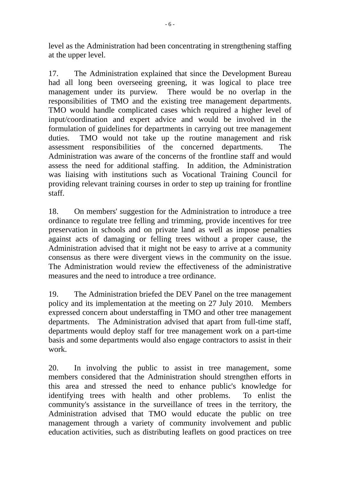level as the Administration had been concentrating in strengthening staffing at the upper level.

17. The Administration explained that since the Development Bureau had all long been overseeing greening, it was logical to place tree management under its purview. There would be no overlap in the responsibilities of TMO and the existing tree management departments. TMO would handle complicated cases which required a higher level of input/coordination and expert advice and would be involved in the formulation of guidelines for departments in carrying out tree management duties. TMO would not take up the routine management and risk assessment responsibilities of the concerned departments. The Administration was aware of the concerns of the frontline staff and would assess the need for additional staffing. In addition, the Administration was liaising with institutions such as Vocational Training Council for providing relevant training courses in order to step up training for frontline staff.

18. On members' suggestion for the Administration to introduce a tree ordinance to regulate tree felling and trimming, provide incentives for tree preservation in schools and on private land as well as impose penalties against acts of damaging or felling trees without a proper cause, the Administration advised that it might not be easy to arrive at a community consensus as there were divergent views in the community on the issue. The Administration would review the effectiveness of the administrative measures and the need to introduce a tree ordinance.

19. The Administration briefed the DEV Panel on the tree management policy and its implementation at the meeting on 27 July 2010. Members expressed concern about understaffing in TMO and other tree management departments. The Administration advised that apart from full-time staff, departments would deploy staff for tree management work on a part-time basis and some departments would also engage contractors to assist in their work.

20. In involving the public to assist in tree management, some members considered that the Administration should strengthen efforts in this area and stressed the need to enhance public's knowledge for identifying trees with health and other problems. To enlist the community's assistance in the surveillance of trees in the territory, the Administration advised that TMO would educate the public on tree management through a variety of community involvement and public education activities, such as distributing leaflets on good practices on tree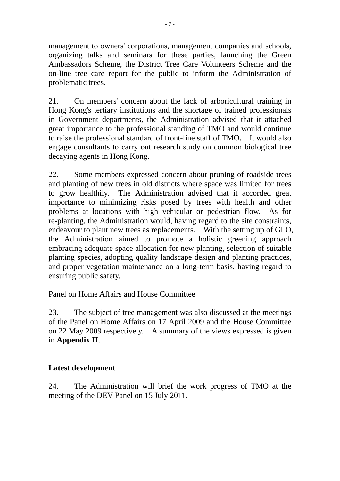management to owners' corporations, management companies and schools, organizing talks and seminars for these parties, launching the Green Ambassadors Scheme, the District Tree Care Volunteers Scheme and the on-line tree care report for the public to inform the Administration of problematic trees.

21. On members' concern about the lack of arboricultural training in Hong Kong's tertiary institutions and the shortage of trained professionals in Government departments, the Administration advised that it attached great importance to the professional standing of TMO and would continue to raise the professional standard of front-line staff of TMO. It would also engage consultants to carry out research study on common biological tree decaying agents in Hong Kong.

22. Some members expressed concern about pruning of roadside trees and planting of new trees in old districts where space was limited for trees to grow healthily. The Administration advised that it accorded great importance to minimizing risks posed by trees with health and other problems at locations with high vehicular or pedestrian flow. As for re-planting, the Administration would, having regard to the site constraints, endeavour to plant new trees as replacements. With the setting up of GLO, the Administration aimed to promote a holistic greening approach embracing adequate space allocation for new planting, selection of suitable planting species, adopting quality landscape design and planting practices, and proper vegetation maintenance on a long-term basis, having regard to ensuring public safety.

## Panel on Home Affairs and House Committee

23. The subject of tree management was also discussed at the meetings of the Panel on Home Affairs on 17 April 2009 and the House Committee on 22 May 2009 respectively. A summary of the views expressed is given in **Appendix II**.

## **Latest development**

24. The Administration will brief the work progress of TMO at the meeting of the DEV Panel on 15 July 2011.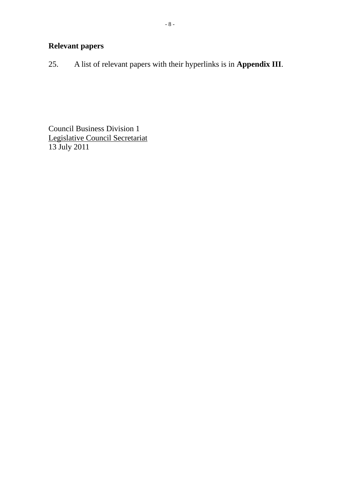25. A list of relevant papers with their hyperlinks is in **Appendix III**.

Council Business Division 1 Legislative Council Secretariat 13 July 2011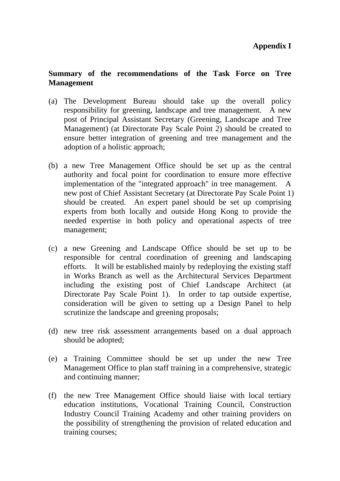#### **Summary of the recommendations of the Task Force on Tree Management**

- (a) The Development Bureau should take up the overall policy responsibility for greening, landscape and tree management. A new post of Principal Assistant Secretary (Greening, Landscape and Tree Management) (at Directorate Pay Scale Point 2) should be created to ensure better integration of greening and tree management and the adoption of a holistic approach;
- (b) a new Tree Management Office should be set up as the central authority and focal point for coordination to ensure more effective implementation of the "integrated approach" in tree management. A new post of Chief Assistant Secretary (at Directorate Pay Scale Point 1) should be created. An expert panel should be set up comprising experts from both locally and outside Hong Kong to provide the needed expertise in both policy and operational aspects of tree management;
- (c) a new Greening and Landscape Office should be set up to be responsible for central coordination of greening and landscaping efforts. It will be established mainly by redeploying the existing staff in Works Branch as well as the Architectural Services Department including the existing post of Chief Landscape Architect (at Directorate Pay Scale Point 1). In order to tap outside expertise, consideration will be given to setting up a Design Panel to help scrutinize the landscape and greening proposals;
- (d) new tree risk assessment arrangements based on a dual approach should be adopted;
- (e) a Training Committee should be set up under the new Tree Management Office to plan staff training in a comprehensive, strategic and continuing manner;
- (f) the new Tree Management Office should liaise with local tertiary education institutions, Vocational Training Council, Construction Industry Council Training Academy and other training providers on the possibility of strengthening the provision of related education and training courses;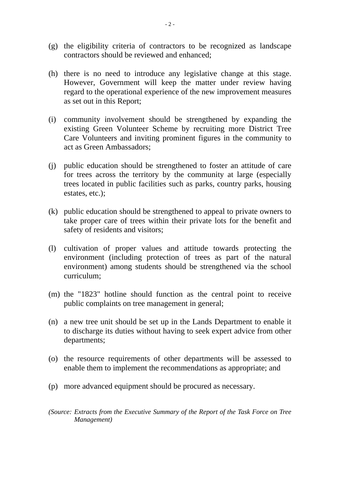- (g) the eligibility criteria of contractors to be recognized as landscape contractors should be reviewed and enhanced;
- (h) there is no need to introduce any legislative change at this stage. However, Government will keep the matter under review having regard to the operational experience of the new improvement measures as set out in this Report;
- (i) community involvement should be strengthened by expanding the existing Green Volunteer Scheme by recruiting more District Tree Care Volunteers and inviting prominent figures in the community to act as Green Ambassadors;
- (j) public education should be strengthened to foster an attitude of care for trees across the territory by the community at large (especially trees located in public facilities such as parks, country parks, housing estates, etc.);
- (k) public education should be strengthened to appeal to private owners to take proper care of trees within their private lots for the benefit and safety of residents and visitors;
- (l) cultivation of proper values and attitude towards protecting the environment (including protection of trees as part of the natural environment) among students should be strengthened via the school curriculum;
- (m) the "1823" hotline should function as the central point to receive public complaints on tree management in general;
- (n) a new tree unit should be set up in the Lands Department to enable it to discharge its duties without having to seek expert advice from other departments;
- (o) the resource requirements of other departments will be assessed to enable them to implement the recommendations as appropriate; and
- (p) more advanced equipment should be procured as necessary.
- *(Source: Extracts from the Executive Summary of the Report of the Task Force on Tree Management)*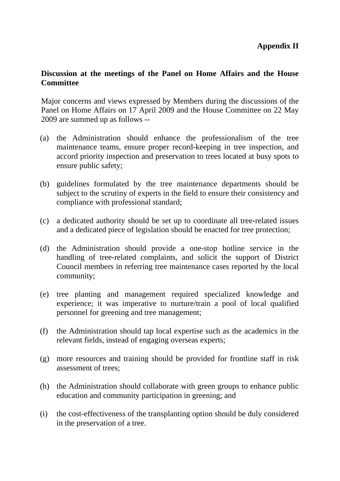#### **Discussion at the meetings of the Panel on Home Affairs and the House Committee**

Major concerns and views expressed by Members during the discussions of the Panel on Home Affairs on 17 April 2009 and the House Committee on 22 May 2009 are summed up as follows --

- (a) the Administration should enhance the professionalism of the tree maintenance teams, ensure proper record-keeping in tree inspection, and accord priority inspection and preservation to trees located at busy spots to ensure public safety;
- (b) guidelines formulated by the tree maintenance departments should be subject to the scrutiny of experts in the field to ensure their consistency and compliance with professional standard;
- (c) a dedicated authority should be set up to coordinate all tree-related issues and a dedicated piece of legislation should be enacted for tree protection;
- (d) the Administration should provide a one-stop hotline service in the handling of tree-related complaints, and solicit the support of District Council members in referring tree maintenance cases reported by the local community;
- (e) tree planting and management required specialized knowledge and experience; it was imperative to nurture/train a pool of local qualified personnel for greening and tree management;
- (f) the Administration should tap local expertise such as the academics in the relevant fields, instead of engaging overseas experts;
- (g) more resources and training should be provided for frontline staff in risk assessment of trees;
- (h) the Administration should collaborate with green groups to enhance public education and community participation in greening; and
- (i) the cost-effectiveness of the transplanting option should be duly considered in the preservation of a tree.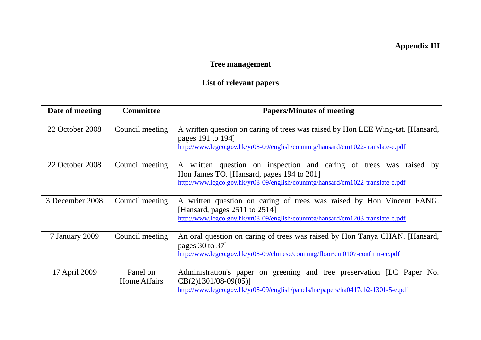# **Appendix III**

# **Tree management**

# **List of relevant papers**

| Date of meeting | <b>Committee</b>         | <b>Papers/Minutes of meeting</b>                                                                                                                                                                  |
|-----------------|--------------------------|---------------------------------------------------------------------------------------------------------------------------------------------------------------------------------------------------|
| 22 October 2008 | Council meeting          | A written question on caring of trees was raised by Hon LEE Wing-tat. [Hansard,<br>pages 191 to 194]<br>http://www.legco.gov.hk/yr08-09/english/counmtg/hansard/cm1022-translate-e.pdf            |
| 22 October 2008 | Council meeting          | A written question on inspection and caring of trees was raised by<br>Hon James TO. [Hansard, pages 194 to 201]<br>http://www.legco.gov.hk/yr08-09/english/counmtg/hansard/cm1022-translate-e.pdf |
| 3 December 2008 | Council meeting          | A written question on caring of trees was raised by Hon Vincent FANG.<br>[Hansard, pages $2511$ to $2514$ ]<br>http://www.legco.gov.hk/yr08-09/english/counmtg/hansard/cm1203-translate-e.pdf     |
| 7 January 2009  | Council meeting          | An oral question on caring of trees was raised by Hon Tanya CHAN. [Hansard,<br>pages 30 to 37<br>http://www.legco.gov.hk/yr08-09/chinese/counmtg/floor/cm0107-confirm-ec.pdf                      |
| 17 April 2009   | Panel on<br>Home Affairs | Administration's paper on greening and tree preservation [LC Paper No.<br>$CB(2)1301/08-09(05)$<br>http://www.legco.gov.hk/yr08-09/english/panels/ha/papers/ha0417cb2-1301-5-e.pdf                |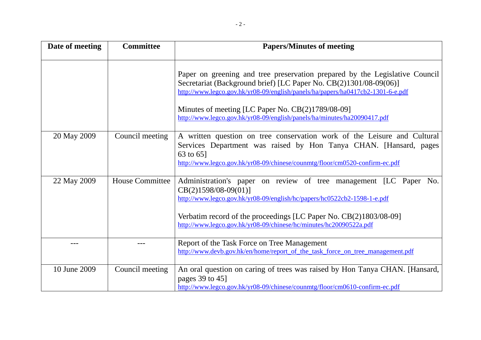| Date of meeting | <b>Committee</b>       | <b>Papers/Minutes of meeting</b>                                                                                                                                                                                                                                                                                                                                     |
|-----------------|------------------------|----------------------------------------------------------------------------------------------------------------------------------------------------------------------------------------------------------------------------------------------------------------------------------------------------------------------------------------------------------------------|
|                 |                        | Paper on greening and tree preservation prepared by the Legislative Council<br>Secretariat (Background brief) [LC Paper No. CB(2)1301/08-09(06)]<br>http://www.legco.gov.hk/yr08-09/english/panels/ha/papers/ha0417cb2-1301-6-e.pdf<br>Minutes of meeting [LC Paper No. CB(2)1789/08-09]<br>http://www.legco.gov.hk/yr08-09/english/panels/ha/minutes/ha20090417.pdf |
| 20 May 2009     | Council meeting        | A written question on tree conservation work of the Leisure and Cultural<br>Services Department was raised by Hon Tanya CHAN. [Hansard, pages<br>63 to 65]<br>http://www.legco.gov.hk/yr08-09/chinese/counmtg/floor/cm0520-confirm-ec.pdf                                                                                                                            |
| 22 May 2009     | <b>House Committee</b> | Administration's paper on review of tree management [LC Paper No.<br>$CB(2)1598/08-09(01)$<br>http://www.legco.gov.hk/yr08-09/english/hc/papers/hc0522cb2-1598-1-e.pdf<br>Verbatim record of the proceedings [LC Paper No. CB(2)1803/08-09]<br>http://www.legco.gov.hk/yr08-09/chinese/hc/minutes/hc20090522a.pdf                                                    |
| ---             |                        | Report of the Task Force on Tree Management<br>http://www.devb.gov.hk/en/home/report_of_the_task_force_on_tree_management.pdf                                                                                                                                                                                                                                        |
| 10 June 2009    | Council meeting        | An oral question on caring of trees was raised by Hon Tanya CHAN. [Hansard,<br>pages 39 to 45]<br>http://www.legco.gov.hk/yr08-09/chinese/counmtg/floor/cm0610-confirm-ec.pdf                                                                                                                                                                                        |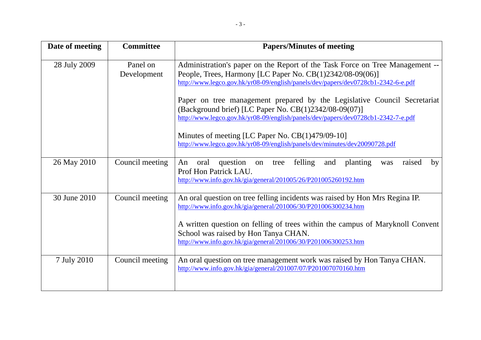| Date of meeting | <b>Committee</b>        | <b>Papers/Minutes of meeting</b>                                                                                                                                                                                               |
|-----------------|-------------------------|--------------------------------------------------------------------------------------------------------------------------------------------------------------------------------------------------------------------------------|
| 28 July 2009    | Panel on<br>Development | Administration's paper on the Report of the Task Force on Tree Management --<br>People, Trees, Harmony [LC Paper No. CB(1)2342/08-09(06)]<br>http://www.legco.gov.hk/yr08-09/english/panels/dev/papers/dev0728cb1-2342-6-e.pdf |
|                 |                         | Paper on tree management prepared by the Legislative Council Secretariat<br>(Background brief) [LC Paper No. CB(1)2342/08-09(07)]<br>http://www.legco.gov.hk/yr08-09/english/panels/dev/papers/dev0728cb1-2342-7-e.pdf         |
|                 |                         | Minutes of meeting [LC Paper No. CB(1)479/09-10]<br>http://www.legco.gov.hk/yr08-09/english/panels/dev/minutes/dev20090728.pdf                                                                                                 |
| 26 May 2010     | Council meeting         | felling<br>An<br>oral<br>question<br>planting<br>raised<br>tree<br>and<br>on<br>was<br>by<br>Prof Hon Patrick LAU.<br>http://www.info.gov.hk/gia/general/201005/26/P201005260192.htm                                           |
| 30 June 2010    | Council meeting         | An oral question on tree felling incidents was raised by Hon Mrs Regina IP.<br>http://www.info.gov.hk/gia/general/201006/30/P201006300234.htm                                                                                  |
|                 |                         | A written question on felling of trees within the campus of Maryknoll Convent<br>School was raised by Hon Tanya CHAN.<br>http://www.info.gov.hk/gia/general/201006/30/P201006300253.htm                                        |
| 7 July 2010     | Council meeting         | An oral question on tree management work was raised by Hon Tanya CHAN.<br>http://www.info.gov.hk/gia/general/201007/07/P201007070160.htm                                                                                       |